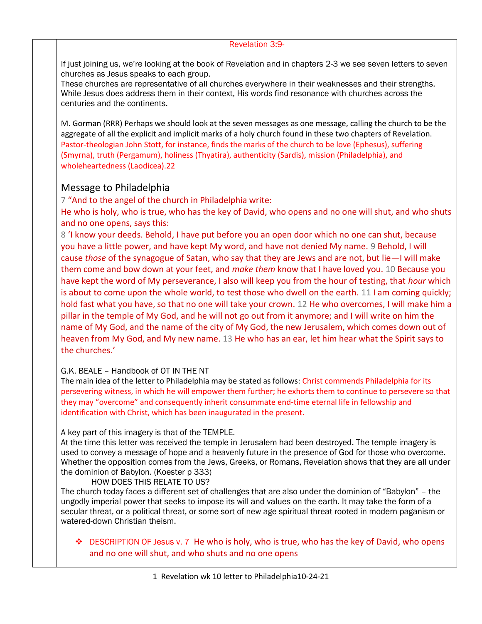#### Revelation 3:9-

If just joining us, we're looking at the book of Revelation and in chapters 2-3 we see seven letters to seven churches as Jesus speaks to each group.

These churches are representative of all churches everywhere in their weaknesses and their strengths. While Jesus does address them in their context, His words find resonance with churches across the centuries and the continents.

M. Gorman (RRR) Perhaps we should look at the seven messages as one message, calling the church to be the aggregate of all the explicit and implicit marks of a holy church found in these two chapters of Revelation. Pastor-theologian John Stott, for instance, finds the marks of the church to be love (Ephesus), suffering (Smyrna), truth (Pergamum), holiness (Thyatira), authenticity (Sardis), mission (Philadelphia), and wholeheartedness (Laodicea).22

# Message to Philadelphia

7 "And to the angel of the church in Philadelphia write:

He who is holy, who is true, who has the key of David, who opens and no one will shut, and who shuts and no one opens, says this:

8 'I know your deeds. Behold, I have put before you an open door which no one can shut, because you have a little power, and have kept My word, and have not denied My name. 9 Behold, I will cause *those* of the synagogue of Satan, who say that they are Jews and are not, but lie—I will make them come and bow down at your feet, and *make them* know that I have loved you. 10 Because you have kept the word of My perseverance, I also will keep you from the hour of testing, that *hour* which is about to come upon the whole world, to test those who dwell on the earth. 11 I am coming quickly; hold fast what you have, so that no one will take your crown. 12 He who overcomes, I will make him a pillar in the temple of My God, and he will not go out from it anymore; and I will write on him the name of My God, and the name of the city of My God, the new Jerusalem, which comes down out of heaven from My God, and My new name. 13 He who has an ear, let him hear what the Spirit says to the churches.'

## G.K. BEALE – Handbook of OT IN THE NT

The main idea of the letter to Philadelphia may be stated as follows: Christ commends Philadelphia for its persevering witness, in which he will empower them further; he exhorts them to continue to persevere so that they may "overcome" and consequently inherit consummate end-time eternal life in fellowship and identification with Christ, which has been inaugurated in the present.

## A key part of this imagery is that of the TEMPLE.

At the time this letter was received the temple in Jerusalem had been destroyed. The temple imagery is used to convey a message of hope and a heavenly future in the presence of God for those who overcome. Whether the opposition comes from the Jews, Greeks, or Romans, Revelation shows that they are all under the dominion of Babylon. (Koester p 333)

HOW DOES THIS RELATE TO US?

The church today faces a different set of challenges that are also under the dominion of "Babylon" – the ungodly imperial power that seeks to impose its will and values on the earth. It may take the form of a secular threat, or a political threat, or some sort of new age spiritual threat rooted in modern paganism or watered-down Christian theism.

❖ DESCRIPTION OF Jesus v. 7 He who is holy, who is true, who has the key of David, who opens and no one will shut, and who shuts and no one opens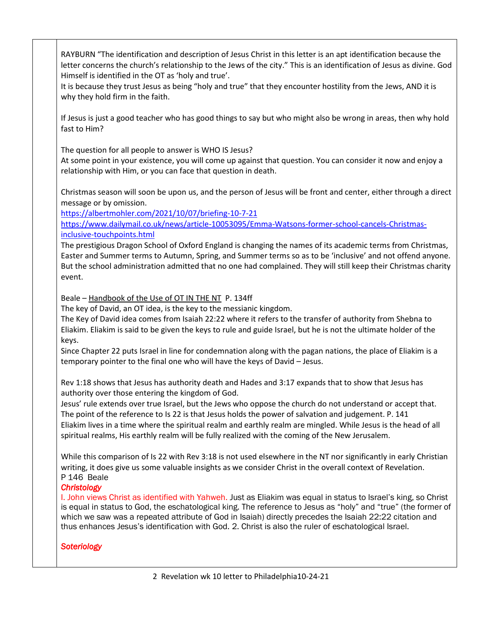RAYBURN "The identification and description of Jesus Christ in this letter is an apt identification because the letter concerns the church's relationship to the Jews of the city." This is an identification of Jesus as divine. God Himself is identified in the OT as 'holy and true'.

It is because they trust Jesus as being "holy and true" that they encounter hostility from the Jews, AND it is why they hold firm in the faith.

If Jesus is just a good teacher who has good things to say but who might also be wrong in areas, then why hold fast to Him?

The question for all people to answer is WHO IS Jesus?

At some point in your existence, you will come up against that question. You can consider it now and enjoy a relationship with Him, or you can face that question in death.

Christmas season will soon be upon us, and the person of Jesus will be front and center, either through a direct message or by omission.

<https://albertmohler.com/2021/10/07/briefing-10-7-21>

[https://www.dailymail.co.uk/news/article-10053095/Emma-Watsons-former-school-cancels-Christmas](https://www.dailymail.co.uk/news/article-10053095/Emma-Watsons-former-school-cancels-Christmas-inclusive-touchpoints.html)[inclusive-touchpoints.html](https://www.dailymail.co.uk/news/article-10053095/Emma-Watsons-former-school-cancels-Christmas-inclusive-touchpoints.html)

The prestigious Dragon School of Oxford England is changing the names of its academic terms from Christmas, Easter and Summer terms to Autumn, Spring, and Summer terms so as to be 'inclusive' and not offend anyone. But the school administration admitted that no one had complained. They will still keep their Christmas charity event.

Beale – Handbook of the Use of OT IN THE NT P. 134ff

The key of David, an OT idea, is the key to the messianic kingdom.

The Key of David idea comes from Isaiah 22:22 where it refers to the transfer of authority from Shebna to Eliakim. Eliakim is said to be given the keys to rule and guide Israel, but he is not the ultimate holder of the keys.

Since Chapter 22 puts Israel in line for condemnation along with the pagan nations, the place of Eliakim is a temporary pointer to the final one who will have the keys of David – Jesus.

Rev 1:18 shows that Jesus has authority death and Hades and 3:17 expands that to show that Jesus has authority over those entering the kingdom of God.

Jesus' rule extends over true Israel, but the Jews who oppose the church do not understand or accept that. The point of the reference to Is 22 is that Jesus holds the power of salvation and judgement. P. 141 Eliakim lives in a time where the spiritual realm and earthly realm are mingled. While Jesus is the head of all spiritual realms, His earthly realm will be fully realized with the coming of the New Jerusalem.

While this comparison of Is 22 with Rev 3:18 is not used elsewhere in the NT nor significantly in early Christian writing, it does give us some valuable insights as we consider Christ in the overall context of Revelation. P 146 Beale

## *Christology*

I. John views Christ as identified with Yahweh. Just as Eliakim was equal in status to Israel's king, so Christ is equal in status to God, the eschatological king. The reference to Jesus as "holy" and "true" (the former of which we saw was a repeated attribute of God in Isaiah) directly precedes the Isaiah 22:22 citation and thus enhances Jesus's identification with God. 2. Christ is also the ruler of eschatological Israel.

## *Soteriology*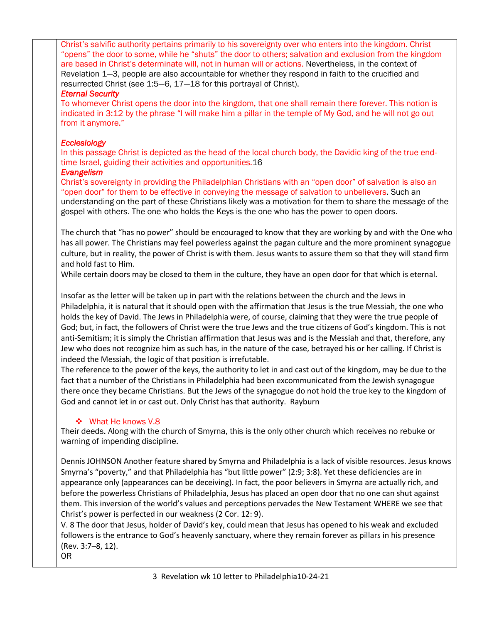Christ's salvific authority pertains primarily to his sovereignty over who enters into the kingdom. Christ "opens" the door to some, while he "shuts" the door to others; salvation and exclusion from the kingdom are based in Christ's determinate will, not in human will or actions. Nevertheless, in the context of Revelation 1—3, people are also accountable for whether they respond in faith to the crucified and resurrected Christ (see 1:5—6, 17—18 for this portrayal of Christ).

#### *Eternal Security*

To whomever Christ opens the door into the kingdom, that one shall remain there forever. This notion is indicated in 3:12 by the phrase "I will make him a pillar in the temple of My God, and he will not go out from it anymore."

## *Ecclesiology*

In this passage Christ is depicted as the head of the local church body, the Davidic king of the true endtime Israel, guiding their activities and opportunities.16

## *Evangelism*

Christ's sovereignty in providing the Philadelphian Christians with an "open door" of salvation is also an "open door" for them to be effective in conveying the message of salvation to unbelievers. Such an understanding on the part of these Christians likely was a motivation for them to share the message of the gospel with others. The one who holds the Keys is the one who has the power to open doors.

The church that "has no power" should be encouraged to know that they are working by and with the One who has all power. The Christians may feel powerless against the pagan culture and the more prominent synagogue culture, but in reality, the power of Christ is with them. Jesus wants to assure them so that they will stand firm and hold fast to Him.

While certain doors may be closed to them in the culture, they have an open door for that which is eternal.

Insofar as the letter will be taken up in part with the relations between the church and the Jews in Philadelphia, it is natural that it should open with the affirmation that Jesus is the true Messiah, the one who holds the key of David. The Jews in Philadelphia were, of course, claiming that they were the true people of God; but, in fact, the followers of Christ were the true Jews and the true citizens of God's kingdom. This is not anti-Semitism; it is simply the Christian affirmation that Jesus was and is the Messiah and that, therefore, any Jew who does not recognize him as such has, in the nature of the case, betrayed his or her calling. If Christ is indeed the Messiah, the logic of that position is irrefutable.

The reference to the power of the keys, the authority to let in and cast out of the kingdom, may be due to the fact that a number of the Christians in Philadelphia had been excommunicated from the Jewish synagogue there once they became Christians. But the Jews of the synagogue do not hold the true key to the kingdom of God and cannot let in or cast out. Only Christ has that authority. Rayburn

## ❖ What He knows V.8

Their deeds. Along with the church of Smyrna, this is the only other church which receives no rebuke or warning of impending discipline.

Dennis JOHNSON Another feature shared by Smyrna and Philadelphia is a lack of visible resources. Jesus knows Smyrna's "poverty," and that Philadelphia has "but little power" (2:9; 3:8). Yet these deficiencies are in appearance only (appearances can be deceiving). In fact, the poor believers in Smyrna are actually rich, and before the powerless Christians of Philadelphia, Jesus has placed an open door that no one can shut against them. This inversion of the world's values and perceptions pervades the New Testament WHERE we see that Christ's power is perfected in our weakness (2 Cor. 12: 9).

V. 8 The door that Jesus, holder of David's key, could mean that Jesus has opened to his weak and excluded followers is the entrance to God's heavenly sanctuary, where they remain forever as pillars in his presence (Rev. 3:7–8, 12). OR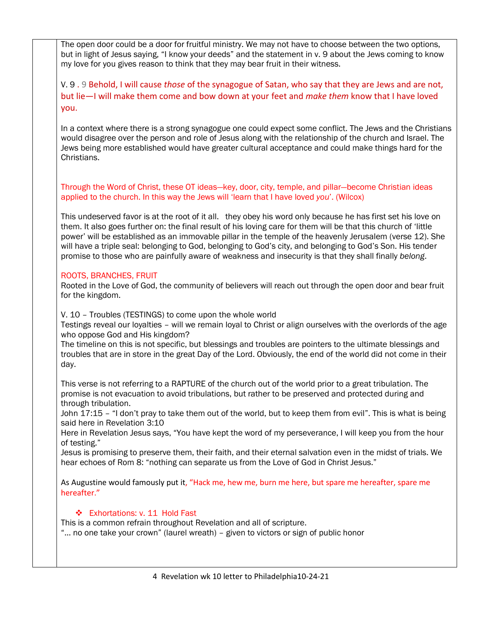The open door could be a door for fruitful ministry. We may not have to choose between the two options, but in light of Jesus saying, "I know your deeds" and the statement in v. 9 about the Jews coming to know my love for you gives reason to think that they may bear fruit in their witness.

V. 9 . 9 Behold, I will cause *those* of the synagogue of Satan, who say that they are Jews and are not, but lie—I will make them come and bow down at your feet and *make them* know that I have loved you.

In a context where there is a strong synagogue one could expect some conflict. The Jews and the Christians would disagree over the person and role of Jesus along with the relationship of the church and Israel. The Jews being more established would have greater cultural acceptance and could make things hard for the Christians.

Through the Word of Christ, these OT ideas—key, door, city, temple, and pillar—become Christian ideas applied to the church. In this way the Jews will 'learn that I have loved *you*'. (Wilcox)

This undeserved favor is at the root of it all. they obey his word only because he has first set his love on them. It also goes further on: the final result of his loving care for them will be that this church of 'little power' will be established as an immovable pillar in the temple of the heavenly Jerusalem (verse 12). She will have a triple seal: belonging to God, belonging to God's city, and belonging to God's Son. His tender promise to those who are painfully aware of weakness and insecurity is that they shall finally *belong*.

## ROOTS, BRANCHES, FRUIT

Rooted in the Love of God, the community of believers will reach out through the open door and bear fruit for the kingdom.

V. 10 – Troubles (TESTINGS) to come upon the whole world

Testings reveal our loyalties – will we remain loyal to Christ or align ourselves with the overlords of the age who oppose God and His kingdom?

The timeline on this is not specific, but blessings and troubles are pointers to the ultimate blessings and troubles that are in store in the great Day of the Lord. Obviously, the end of the world did not come in their day.

This verse is not referring to a RAPTURE of the church out of the world prior to a great tribulation. The promise is not evacuation to avoid tribulations, but rather to be preserved and protected during and through tribulation.

John 17:15 – "I don't pray to take them out of the world, but to keep them from evil". This is what is being said here in Revelation 3:10

Here in Revelation Jesus says, "You have kept the word of my perseverance, I will keep you from the hour of testing."

Jesus is promising to preserve them, their faith, and their eternal salvation even in the midst of trials. We hear echoes of Rom 8: "nothing can separate us from the Love of God in Christ Jesus."

As Augustine would famously put it, "Hack me, hew me, burn me here, but spare me hereafter, spare me hereafter."

## ❖ Exhortations: v. 11 Hold Fast

This is a common refrain throughout Revelation and all of scripture.

"… no one take your crown" (laurel wreath) – given to victors or sign of public honor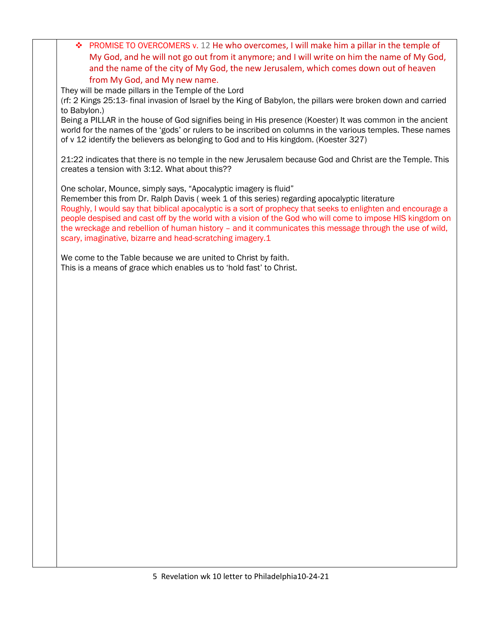❖ PROMISE TO OVERCOMERS v. 12 He who overcomes, I will make him a pillar in the temple of My God, and he will not go out from it anymore; and I will write on him the name of My God, and the name of the city of My God, the new Jerusalem, which comes down out of heaven from My God, and My new name.

They will be made pillars in the Temple of the Lord

(rf: 2 Kings 25:13- final invasion of Israel by the King of Babylon, the pillars were broken down and carried to Babylon.)

Being a PILLAR in the house of God signifies being in His presence (Koester) It was common in the ancient world for the names of the 'gods' or rulers to be inscribed on columns in the various temples. These names of v 12 identify the believers as belonging to God and to His kingdom. (Koester 327)

21:22 indicates that there is no temple in the new Jerusalem because God and Christ are the Temple. This creates a tension with 3:12. What about this??

One scholar, Mounce, simply says, "Apocalyptic imagery is fluid"

Remember this from Dr. Ralph Davis (week 1 of this series) regarding apocalyptic literature Roughly, I would say that biblical apocalyptic is a sort of prophecy that seeks to enlighten and encourage a people despised and cast off by the world with a vision of the God who will come to impose HIS kingdom on the wreckage and rebellion of human history – and it communicates this message through the use of wild, scary, imaginative, bizarre and head-scratching imagery.1

We come to the Table because we are united to Christ by faith. This is a means of grace which enables us to 'hold fast' to Christ.